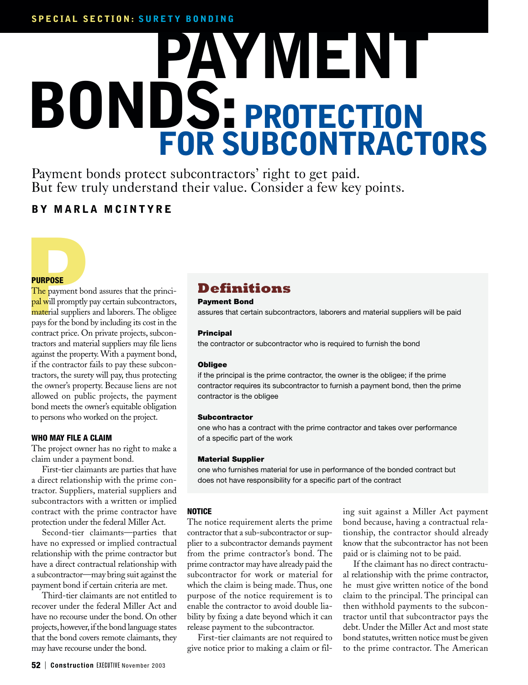# **PAYMENT BONDS:PROTECTION FOR SUBCONTRACTORS**

Payment bonds protect subcontractors' right to get paid. But few truly understand their value. Consider a few key points.

### **BY MARLA MCINTYRE**

#### **PURPOSE**

**PURPOSE**<br>The payment bon<br>pal will promptly p<br>material suppliers<br>pays for the bond l The payment bond assures that the principal will promptly pay certain subcontractors, material suppliers and laborers. The obligee pays for the bond by including its cost in the contract price. On private projects, subcontractors and material suppliers may file liens against the property. With a payment bond, if the contractor fails to pay these subcontractors, the surety will pay, thus protecting the owner's property. Because liens are not allowed on public projects, the payment bond meets the owner's equitable obligation to persons who worked on the project.

#### **WHO MAY FILE A CLAIM**

The project owner has no right to make a claim under a payment bond.

First-tier claimants are parties that have a direct relationship with the prime contractor. Suppliers, material suppliers and subcontractors with a written or implied contract with the prime contractor have protection under the federal Miller Act.

Second-tier claimants—parties that have no expressed or implied contractual relationship with the prime contractor but have a direct contractual relationship with a subcontractor—may bring suit against the payment bond if certain criteria are met.

Third-tier claimants are not entitled to recover under the federal Miller Act and have no recourse under the bond. On other projects, however, if the bond language states that the bond covers remote claimants, they may have recourse under the bond.

## **Definitions**

#### **Payment Bond**

assures that certain subcontractors, laborers and material suppliers will be paid

#### **Principal**

the contractor or subcontractor who is required to furnish the bond

#### **Obligee**

if the principal is the prime contractor, the owner is the obligee; if the prime contractor requires its subcontractor to furnish a payment bond, then the prime contractor is the obligee

#### **Subcontractor**

one who has a contract with the prime contractor and takes over performance of a specific part of the work

#### **Material Supplier**

one who furnishes material for use in performance of the bonded contract but does not have responsibility for a specific part of the contract

#### **NOTICE**

The notice requirement alerts the prime contractor that a sub-subcontractor or supplier to a subcontractor demands payment from the prime contractor's bond. The prime contractor may have already paid the subcontractor for work or material for which the claim is being made. Thus, one purpose of the notice requirement is to enable the contractor to avoid double liability by fixing a date beyond which it can release payment to the subcontractor.

First-tier claimants are not required to give notice prior to making a claim or filing suit against a Miller Act payment bond because, having a contractual relationship, the contractor should already know that the subcontractor has not been paid or is claiming not to be paid.

If the claimant has no direct contractual relationship with the prime contractor, he must give written notice of the bond claim to the principal. The principal can then withhold payments to the subcontractor until that subcontractor pays the debt. Under the Miller Act and most state bond statutes, written notice must be given to the prime contractor. The American